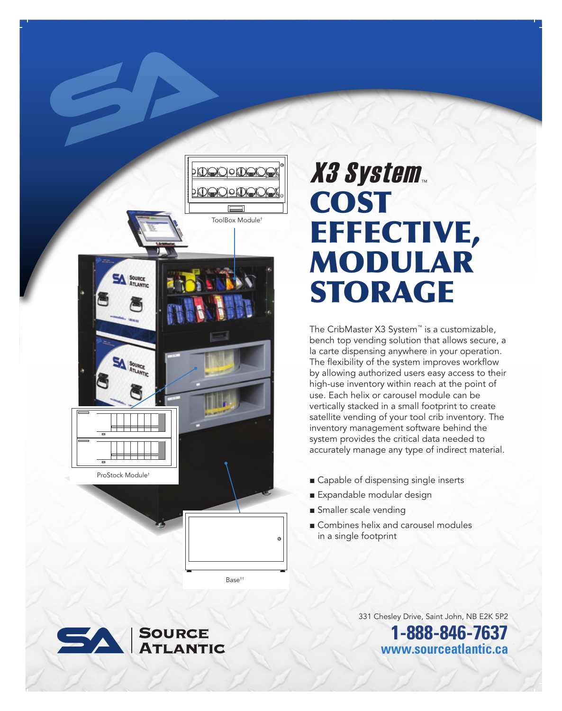

Base††

# COST EFFECTIVE, MODULAR STORAGE **X3 System**

The CribMaster X3 System™ is a customizable, bench top vending solution that allows secure, a la carte dispensing anywhere in your operation. The flexibility of the system improves workflow by allowing authorized users easy access to their high-use inventory within reach at the point of use. Each helix or carousel module can be vertically stacked in a small footprint to create satellite vending of your tool crib inventory. The inventory management software behind the system provides the critical data needed to accurately manage any type of indirect material.

- Capable of dispensing single inserts
- Expandable modular design
- Smaller scale vending
- Combines helix and carousel modules in a single footprint

331 Chesley Drive, Saint John, NB E2K 5P2 **1-888-846-7637 www.sourceatlantic.ca**

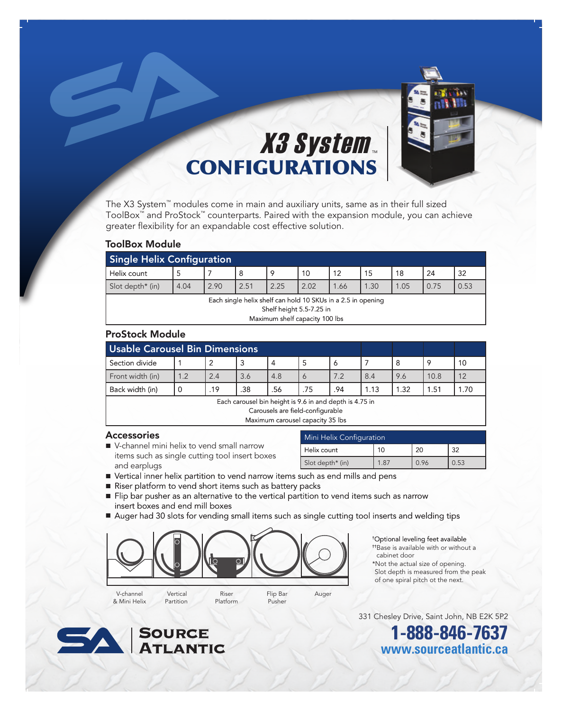

## CONFIGURATIONS **X3 System**

The X3 System™ modules come in main and auxiliary units, same as in their full sized ToolBox™ and ProStock™ counterparts. Paired with the expansion module, you can achieve greater flexibility for an expandable cost effective solution.

#### ToolBox Module

| <b>Single Helix Configuration</b>                                                                                          |      |      |      |      |      |      |      |      |      |      |
|----------------------------------------------------------------------------------------------------------------------------|------|------|------|------|------|------|------|------|------|------|
| Helix count                                                                                                                | 5    |      | -8   | 9    | 10   | 12   | 15   | 18   | 24   | -32  |
| Slot depth* (in)                                                                                                           | 4.04 | 2.90 | 2.51 | 2.25 | 2.02 | 1.66 | 1.30 | 1.05 | 0.75 | 0.53 |
| Each single helix shelf can hold 10 SKUs in a 2.5 in opening<br>Shelf height 5.5-7.25 in<br>Maximum shelf capacity 100 lbs |      |      |      |      |      |      |      |      |      |      |

### ProStock Module

| <b>Usable Carousel Bin Dimensions</b> |     |     |     |     |     |         |      |      |      |    |
|---------------------------------------|-----|-----|-----|-----|-----|---------|------|------|------|----|
| Section divide                        |     |     |     |     |     | $\circ$ |      |      |      | 10 |
| Front width (in)                      | 1.2 | 2.4 | 3.6 | 4.8 |     | 7.2     | 8.4  | 9.6  | 10.8 | 12 |
| Back width (in)                       |     | .19 | .38 | .56 | .75 | .94     | 1.13 | 1.32 | 1.51 |    |
| .<br>.<br>__                          |     |     |     |     |     |         |      |      |      |    |

Each carousel bin height is 9.6 in and depth is 4.75 in

Carousels are field-configurable

Maximum carousel capacity 35 lbs

#### Accessories

■ V-channel mini helix to vend small narrow items such as single cutting tool insert boxes and earplugs

| Mini Helix Configuration |  |      |    |  |  |  |
|--------------------------|--|------|----|--|--|--|
| Helix count              |  |      | າາ |  |  |  |
| Slot depth* (in)         |  | ባ 96 |    |  |  |  |

- Vertical inner helix partition to vend narrow items such as end mills and pens
- Riser platform to vend short items such as battery packs
- Flip bar pusher as an alternative to the vertical partition to vend items such as narrow insert boxes and end mill boxes
- Auger had 30 slots for vending small items such as single cutting tool inserts and welding tips



V-channel & Mini Helix Vertical Partition

Riser Platform Flip Bar Pusher

Auger



- †† Base is available with or without a cabinet door
- \*Not the actual size of opening. Slot depth is measured from the peak of one spiral pitch ot the next.

331 Chesley Drive, Saint John, NB E2K 5P2

**1-888-846-7637 www.sourceatlantic.ca**

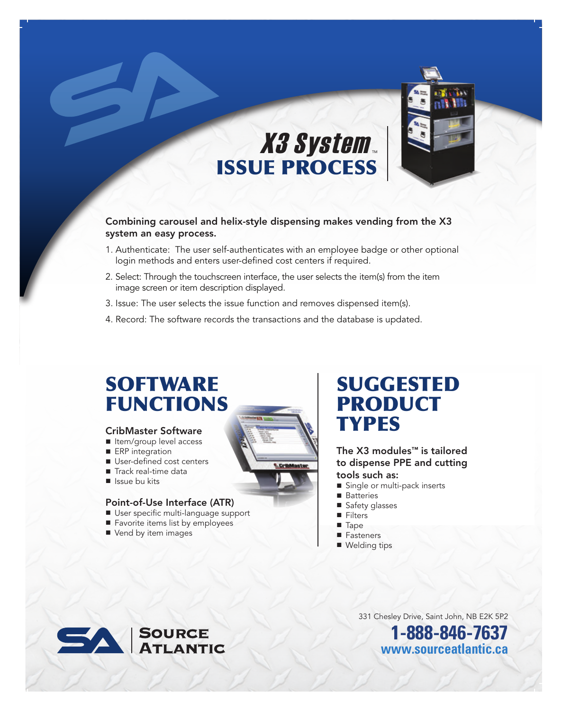

# ISSUE PROCESS **X3 System**

Combining carousel and helix-style dispensing makes vending from the X3 system an easy process.

- 1. Authenticate: The user self-authenticates with an employee badge or other optional login methods and enters user-defined cost centers if required.
- 2. Select: Through the touchscreen interface, the user selects the item(s) from the item image screen or item description displayed.
- 3. Issue: The user selects the issue function and removes dispensed item(s).
- 4. Record: The software records the transactions and the database is updated.

### **SOFTWARE** FUNCTIONS

### CribMaster Software

- Item/group level access
- ERP integration
- User-defined cost centers
- Track real-time data<br>■ Issue bu kits
- 

### Point-of-Use Interface (ATR)

- User specific multi-language support
- Favorite items list by employees
- Vend by item images



### SUGGESTED PRODUCT **TYPES**

The X3 modules™ is tailored to dispense PPE and cutting tools such as:

- Single or multi-pack inserts
- Batteries
- Safety glasses
- Filters
- Tape
- Fasteners
- Welding tips



331 Chesley Drive, Saint John, NB E2K 5P2

**1-888-846-7637 www.sourceatlantic.ca**